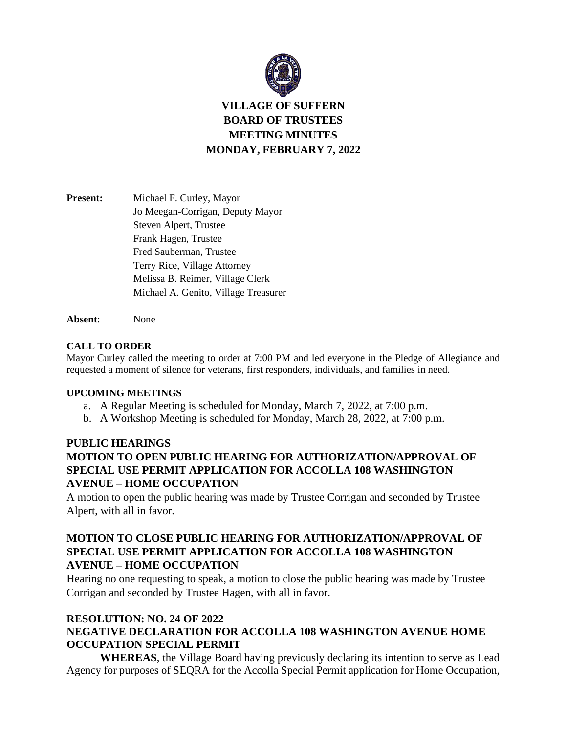

# **VILLAGE OF SUFFERN BOARD OF TRUSTEES MEETING MINUTES MONDAY, FEBRUARY 7, 2022**

| <b>Present:</b> | Michael F. Curley, Mayor             |
|-----------------|--------------------------------------|
|                 | Jo Meegan-Corrigan, Deputy Mayor     |
|                 | Steven Alpert, Trustee               |
|                 | Frank Hagen, Trustee                 |
|                 | Fred Sauberman, Trustee              |
|                 | Terry Rice, Village Attorney         |
|                 | Melissa B. Reimer, Village Clerk     |
|                 | Michael A. Genito, Village Treasurer |
|                 |                                      |

**Absent**: None

### **CALL TO ORDER**

Mayor Curley called the meeting to order at 7:00 PM and led everyone in the Pledge of Allegiance and requested a moment of silence for veterans, first responders, individuals, and families in need.

### **UPCOMING MEETINGS**

- a. A Regular Meeting is scheduled for Monday, March 7, 2022, at 7:00 p.m.
- b. A Workshop Meeting is scheduled for Monday, March 28, 2022, at 7:00 p.m.

# **PUBLIC HEARINGS MOTION TO OPEN PUBLIC HEARING FOR AUTHORIZATION/APPROVAL OF SPECIAL USE PERMIT APPLICATION FOR ACCOLLA 108 WASHINGTON AVENUE – HOME OCCUPATION**

A motion to open the public hearing was made by Trustee Corrigan and seconded by Trustee Alpert, with all in favor.

# **MOTION TO CLOSE PUBLIC HEARING FOR AUTHORIZATION/APPROVAL OF SPECIAL USE PERMIT APPLICATION FOR ACCOLLA 108 WASHINGTON AVENUE – HOME OCCUPATION**

Hearing no one requesting to speak, a motion to close the public hearing was made by Trustee Corrigan and seconded by Trustee Hagen, with all in favor.

# **RESOLUTION: NO. 24 OF 2022 NEGATIVE DECLARATION FOR ACCOLLA 108 WASHINGTON AVENUE HOME OCCUPATION SPECIAL PERMIT**

**WHEREAS**, the Village Board having previously declaring its intention to serve as Lead Agency for purposes of SEQRA for the Accolla Special Permit application for Home Occupation,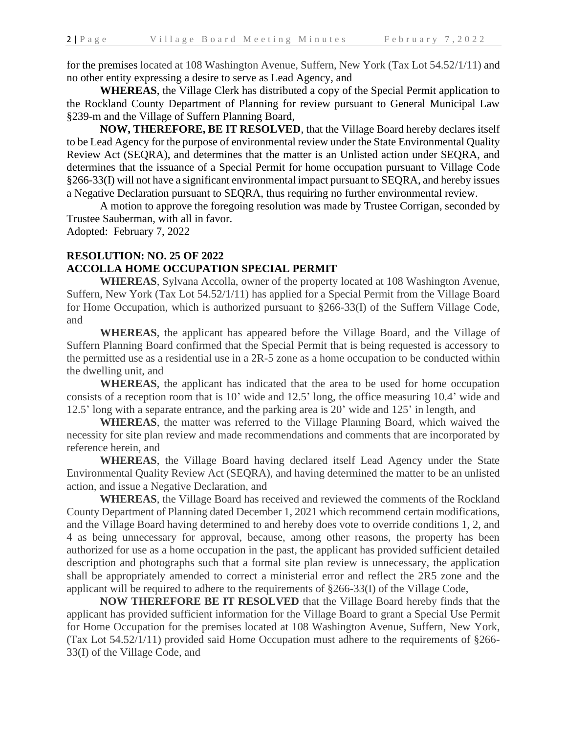for the premises located at 108 Washington Avenue, Suffern, New York (Tax Lot 54.52/1/11) and no other entity expressing a desire to serve as Lead Agency, and

**WHEREAS**, the Village Clerk has distributed a copy of the Special Permit application to the Rockland County Department of Planning for review pursuant to General Municipal Law §239-m and the Village of Suffern Planning Board,

**NOW, THEREFORE, BE IT RESOLVED**, that the Village Board hereby declares itself to be Lead Agency for the purpose of environmental review under the State Environmental Quality Review Act (SEQRA), and determines that the matter is an Unlisted action under SEQRA, and determines that the issuance of a Special Permit for home occupation pursuant to Village Code §266-33(I) will not have a significant environmental impact pursuant to SEQRA, and hereby issues a Negative Declaration pursuant to SEQRA, thus requiring no further environmental review.

A motion to approve the foregoing resolution was made by Trustee Corrigan, seconded by Trustee Sauberman, with all in favor.

Adopted: February 7, 2022

# **RESOLUTION: NO. 25 OF 2022 ACCOLLA HOME OCCUPATION SPECIAL PERMIT**

**WHEREAS**, Sylvana Accolla, owner of the property located at 108 Washington Avenue, Suffern, New York (Tax Lot 54.52/1/11) has applied for a Special Permit from the Village Board for Home Occupation, which is authorized pursuant to §266-33(I) of the Suffern Village Code, and

**WHEREAS**, the applicant has appeared before the Village Board, and the Village of Suffern Planning Board confirmed that the Special Permit that is being requested is accessory to the permitted use as a residential use in a 2R-5 zone as a home occupation to be conducted within the dwelling unit, and

**WHEREAS**, the applicant has indicated that the area to be used for home occupation consists of a reception room that is 10' wide and 12.5' long, the office measuring 10.4' wide and 12.5' long with a separate entrance, and the parking area is 20' wide and 125' in length, and

**WHEREAS**, the matter was referred to the Village Planning Board, which waived the necessity for site plan review and made recommendations and comments that are incorporated by reference herein, and

**WHEREAS**, the Village Board having declared itself Lead Agency under the State Environmental Quality Review Act (SEQRA), and having determined the matter to be an unlisted action, and issue a Negative Declaration, and

**WHEREAS**, the Village Board has received and reviewed the comments of the Rockland County Department of Planning dated December 1, 2021 which recommend certain modifications, and the Village Board having determined to and hereby does vote to override conditions 1, 2, and 4 as being unnecessary for approval, because, among other reasons, the property has been authorized for use as a home occupation in the past, the applicant has provided sufficient detailed description and photographs such that a formal site plan review is unnecessary, the application shall be appropriately amended to correct a ministerial error and reflect the 2R5 zone and the applicant will be required to adhere to the requirements of §266-33(I) of the Village Code,

**NOW THEREFORE BE IT RESOLVED** that the Village Board hereby finds that the applicant has provided sufficient information for the Village Board to grant a Special Use Permit for Home Occupation for the premises located at 108 Washington Avenue, Suffern, New York, (Tax Lot 54.52/1/11) provided said Home Occupation must adhere to the requirements of §266- 33(I) of the Village Code, and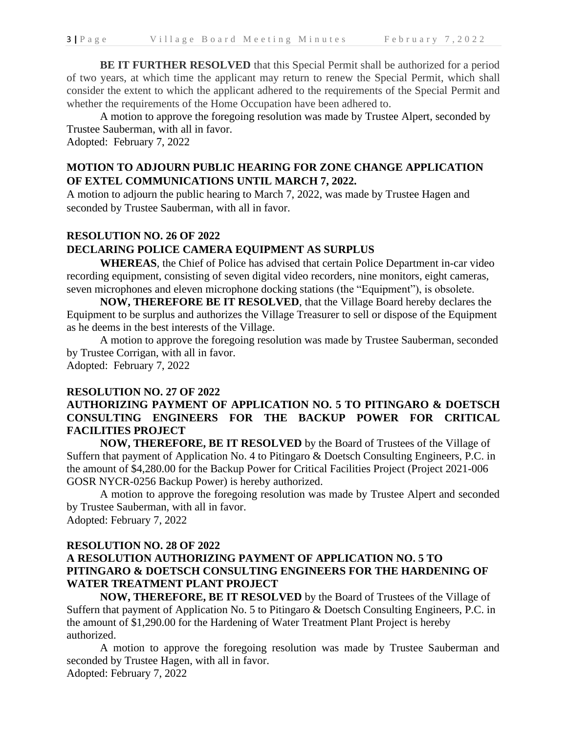**BE IT FURTHER RESOLVED** that this Special Permit shall be authorized for a period of two years, at which time the applicant may return to renew the Special Permit, which shall consider the extent to which the applicant adhered to the requirements of the Special Permit and whether the requirements of the Home Occupation have been adhered to.

A motion to approve the foregoing resolution was made by Trustee Alpert, seconded by Trustee Sauberman, with all in favor.

Adopted: February 7, 2022

## **MOTION TO ADJOURN PUBLIC HEARING FOR ZONE CHANGE APPLICATION OF EXTEL COMMUNICATIONS UNTIL MARCH 7, 2022.**

A motion to adjourn the public hearing to March 7, 2022, was made by Trustee Hagen and seconded by Trustee Sauberman, with all in favor.

# **RESOLUTION NO. 26 OF 2022**

### **DECLARING POLICE CAMERA EQUIPMENT AS SURPLUS**

**WHEREAS**, the Chief of Police has advised that certain Police Department in-car video recording equipment, consisting of seven digital video recorders, nine monitors, eight cameras, seven microphones and eleven microphone docking stations (the "Equipment"), is obsolete.

**NOW, THEREFORE BE IT RESOLVED**, that the Village Board hereby declares the Equipment to be surplus and authorizes the Village Treasurer to sell or dispose of the Equipment as he deems in the best interests of the Village.

A motion to approve the foregoing resolution was made by Trustee Sauberman, seconded by Trustee Corrigan, with all in favor. Adopted: February 7, 2022

#### **RESOLUTION NO. 27 OF 2022**

### **AUTHORIZING PAYMENT OF APPLICATION NO. 5 TO PITINGARO & DOETSCH CONSULTING ENGINEERS FOR THE BACKUP POWER FOR CRITICAL FACILITIES PROJECT**

**NOW, THEREFORE, BE IT RESOLVED** by the Board of Trustees of the Village of Suffern that payment of Application No. 4 to Pitingaro & Doetsch Consulting Engineers, P.C. in the amount of \$4,280.00 for the Backup Power for Critical Facilities Project (Project 2021-006 GOSR NYCR-0256 Backup Power) is hereby authorized.

A motion to approve the foregoing resolution was made by Trustee Alpert and seconded by Trustee Sauberman, with all in favor. Adopted: February 7, 2022

#### **RESOLUTION NO. 28 OF 2022**

# **A RESOLUTION AUTHORIZING PAYMENT OF APPLICATION NO. 5 TO PITINGARO & DOETSCH CONSULTING ENGINEERS FOR THE HARDENING OF WATER TREATMENT PLANT PROJECT**

**NOW, THEREFORE, BE IT RESOLVED** by the Board of Trustees of the Village of Suffern that payment of Application No. 5 to Pitingaro & Doetsch Consulting Engineers, P.C. in the amount of \$1,290.00 for the Hardening of Water Treatment Plant Project is hereby authorized.

A motion to approve the foregoing resolution was made by Trustee Sauberman and seconded by Trustee Hagen, with all in favor. Adopted: February 7, 2022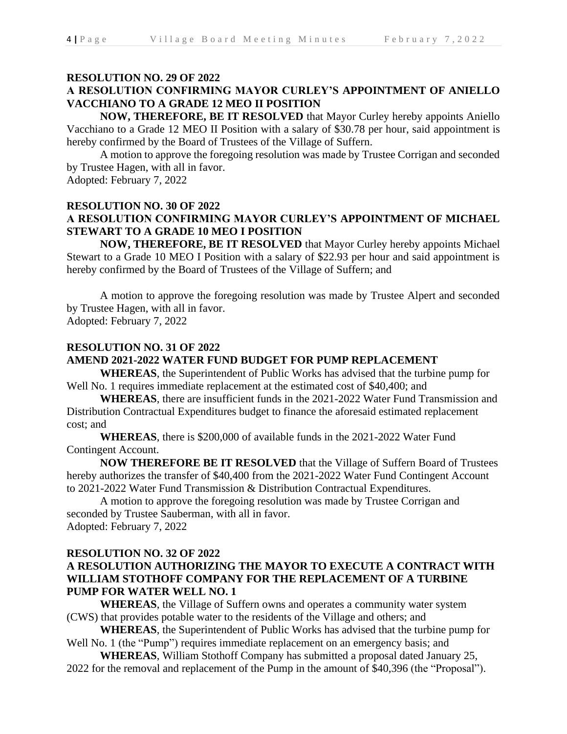### **RESOLUTION NO. 29 OF 2022**

# **A RESOLUTION CONFIRMING MAYOR CURLEY'S APPOINTMENT OF ANIELLO VACCHIANO TO A GRADE 12 MEO II POSITION**

**NOW, THEREFORE, BE IT RESOLVED** that Mayor Curley hereby appoints Aniello Vacchiano to a Grade 12 MEO II Position with a salary of \$30.78 per hour, said appointment is hereby confirmed by the Board of Trustees of the Village of Suffern.

A motion to approve the foregoing resolution was made by Trustee Corrigan and seconded by Trustee Hagen, with all in favor.

Adopted: February 7, 2022

# **RESOLUTION NO. 30 OF 2022 A RESOLUTION CONFIRMING MAYOR CURLEY'S APPOINTMENT OF MICHAEL STEWART TO A GRADE 10 MEO I POSITION**

**NOW, THEREFORE, BE IT RESOLVED** that Mayor Curley hereby appoints Michael Stewart to a Grade 10 MEO I Position with a salary of \$22.93 per hour and said appointment is hereby confirmed by the Board of Trustees of the Village of Suffern; and

A motion to approve the foregoing resolution was made by Trustee Alpert and seconded by Trustee Hagen, with all in favor.

Adopted: February 7, 2022

### **RESOLUTION NO. 31 OF 2022**

#### **AMEND 2021-2022 WATER FUND BUDGET FOR PUMP REPLACEMENT**

**WHEREAS**, the Superintendent of Public Works has advised that the turbine pump for Well No. 1 requires immediate replacement at the estimated cost of \$40,400; and

**WHEREAS**, there are insufficient funds in the 2021-2022 Water Fund Transmission and Distribution Contractual Expenditures budget to finance the aforesaid estimated replacement cost; and

**WHEREAS**, there is \$200,000 of available funds in the 2021-2022 Water Fund Contingent Account.

**NOW THEREFORE BE IT RESOLVED** that the Village of Suffern Board of Trustees hereby authorizes the transfer of \$40,400 from the 2021-2022 Water Fund Contingent Account to 2021-2022 Water Fund Transmission & Distribution Contractual Expenditures.

A motion to approve the foregoing resolution was made by Trustee Corrigan and seconded by Trustee Sauberman, with all in favor. Adopted: February 7, 2022

### **RESOLUTION NO. 32 OF 2022**

### **A RESOLUTION AUTHORIZING THE MAYOR TO EXECUTE A CONTRACT WITH WILLIAM STOTHOFF COMPANY FOR THE REPLACEMENT OF A TURBINE PUMP FOR WATER WELL NO. 1**

**WHEREAS**, the Village of Suffern owns and operates a community water system (CWS) that provides potable water to the residents of the Village and others; and

**WHEREAS**, the Superintendent of Public Works has advised that the turbine pump for Well No. 1 (the "Pump") requires immediate replacement on an emergency basis; and

**WHEREAS**, William Stothoff Company has submitted a proposal dated January 25, 2022 for the removal and replacement of the Pump in the amount of \$40,396 (the "Proposal").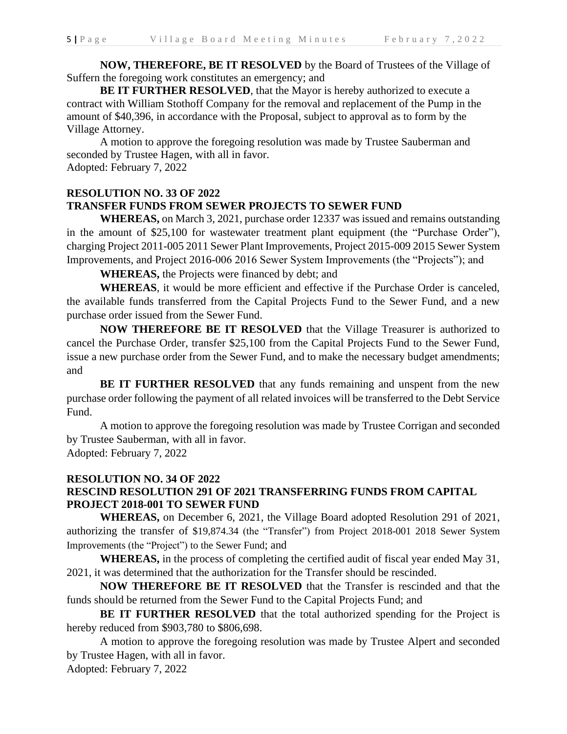**NOW, THEREFORE, BE IT RESOLVED** by the Board of Trustees of the Village of Suffern the foregoing work constitutes an emergency; and

**BE IT FURTHER RESOLVED**, that the Mayor is hereby authorized to execute a contract with William Stothoff Company for the removal and replacement of the Pump in the amount of \$40,396, in accordance with the Proposal, subject to approval as to form by the Village Attorney.

A motion to approve the foregoing resolution was made by Trustee Sauberman and seconded by Trustee Hagen, with all in favor. Adopted: February 7, 2022

# **RESOLUTION NO. 33 OF 2022 TRANSFER FUNDS FROM SEWER PROJECTS TO SEWER FUND**

**WHEREAS,** on March 3, 2021, purchase order 12337 was issued and remains outstanding in the amount of \$25,100 for wastewater treatment plant equipment (the "Purchase Order"), charging Project 2011-005 2011 Sewer Plant Improvements, Project 2015-009 2015 Sewer System Improvements, and Project 2016-006 2016 Sewer System Improvements (the "Projects"); and

**WHEREAS,** the Projects were financed by debt; and

**WHEREAS**, it would be more efficient and effective if the Purchase Order is canceled, the available funds transferred from the Capital Projects Fund to the Sewer Fund, and a new purchase order issued from the Sewer Fund.

**NOW THEREFORE BE IT RESOLVED** that the Village Treasurer is authorized to cancel the Purchase Order, transfer \$25,100 from the Capital Projects Fund to the Sewer Fund, issue a new purchase order from the Sewer Fund, and to make the necessary budget amendments; and

**BE IT FURTHER RESOLVED** that any funds remaining and unspent from the new purchase order following the payment of all related invoices will be transferred to the Debt Service Fund.

A motion to approve the foregoing resolution was made by Trustee Corrigan and seconded by Trustee Sauberman, with all in favor. Adopted: February 7, 2022

**RESOLUTION NO. 34 OF 2022 RESCIND RESOLUTION 291 OF 2021 TRANSFERRING FUNDS FROM CAPITAL PROJECT 2018-001 TO SEWER FUND**

**WHEREAS,** on December 6, 2021, the Village Board adopted Resolution 291 of 2021, authorizing the transfer of \$19,874.34 (the "Transfer") from Project 2018-001 2018 Sewer System Improvements (the "Project") to the Sewer Fund; and

**WHEREAS,** in the process of completing the certified audit of fiscal year ended May 31, 2021, it was determined that the authorization for the Transfer should be rescinded.

**NOW THEREFORE BE IT RESOLVED** that the Transfer is rescinded and that the funds should be returned from the Sewer Fund to the Capital Projects Fund; and

**BE IT FURTHER RESOLVED** that the total authorized spending for the Project is hereby reduced from \$903,780 to \$806,698.

A motion to approve the foregoing resolution was made by Trustee Alpert and seconded by Trustee Hagen, with all in favor.

Adopted: February 7, 2022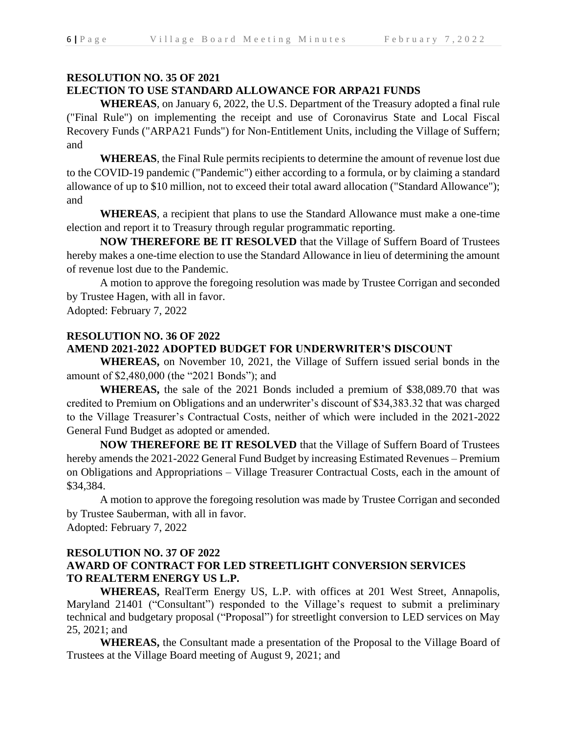### **RESOLUTION NO. 35 OF 2021**

#### **ELECTION TO USE STANDARD ALLOWANCE FOR ARPA21 FUNDS**

**WHEREAS**, on January 6, 2022, the U.S. Department of the Treasury adopted a final rule ("Final Rule") on implementing the receipt and use of Coronavirus State and Local Fiscal Recovery Funds ("ARPA21 Funds") for Non-Entitlement Units, including the Village of Suffern; and

**WHEREAS**, the Final Rule permits recipients to determine the amount of revenue lost due to the COVID-19 pandemic ("Pandemic") either according to a formula, or by claiming a standard allowance of up to \$10 million, not to exceed their total award allocation ("Standard Allowance"); and

**WHEREAS**, a recipient that plans to use the Standard Allowance must make a one-time election and report it to Treasury through regular programmatic reporting.

**NOW THEREFORE BE IT RESOLVED** that the Village of Suffern Board of Trustees hereby makes a one-time election to use the Standard Allowance in lieu of determining the amount of revenue lost due to the Pandemic.

A motion to approve the foregoing resolution was made by Trustee Corrigan and seconded by Trustee Hagen, with all in favor.

Adopted: February 7, 2022

# **RESOLUTION NO. 36 OF 2022**

#### **AMEND 2021-2022 ADOPTED BUDGET FOR UNDERWRITER'S DISCOUNT**

**WHEREAS,** on November 10, 2021, the Village of Suffern issued serial bonds in the amount of \$2,480,000 (the "2021 Bonds"); and

**WHEREAS,** the sale of the 2021 Bonds included a premium of \$38,089.70 that was credited to Premium on Obligations and an underwriter's discount of \$34,383.32 that was charged to the Village Treasurer's Contractual Costs, neither of which were included in the 2021-2022 General Fund Budget as adopted or amended.

**NOW THEREFORE BE IT RESOLVED** that the Village of Suffern Board of Trustees hereby amends the 2021-2022 General Fund Budget by increasing Estimated Revenues – Premium on Obligations and Appropriations – Village Treasurer Contractual Costs, each in the amount of \$34,384.

A motion to approve the foregoing resolution was made by Trustee Corrigan and seconded by Trustee Sauberman, with all in favor.

Adopted: February 7, 2022

# **RESOLUTION NO. 37 OF 2022**

# **AWARD OF CONTRACT FOR LED STREETLIGHT CONVERSION SERVICES TO REALTERM ENERGY US L.P.**

**WHEREAS,** RealTerm Energy US, L.P. with offices at 201 West Street, Annapolis, Maryland 21401 ("Consultant") responded to the Village's request to submit a preliminary technical and budgetary proposal ("Proposal") for streetlight conversion to LED services on May 25, 2021; and

**WHEREAS,** the Consultant made a presentation of the Proposal to the Village Board of Trustees at the Village Board meeting of August 9, 2021; and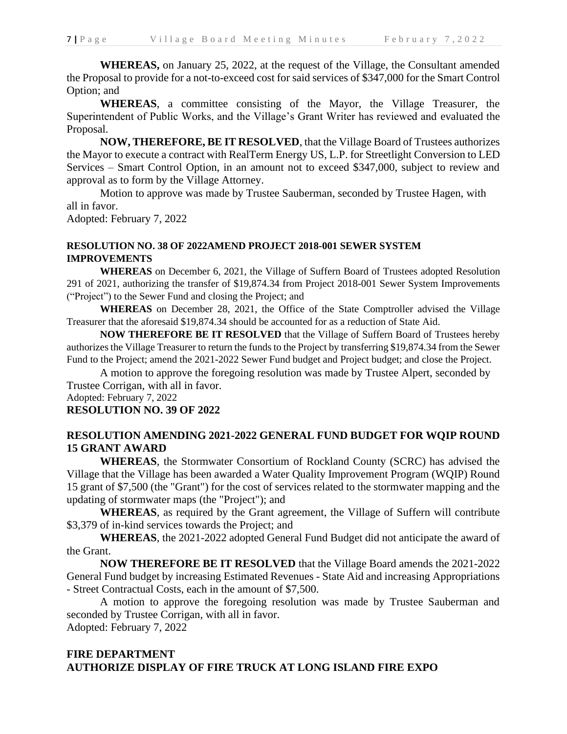**WHEREAS,** on January 25, 2022, at the request of the Village, the Consultant amended the Proposal to provide for a not-to-exceed cost for said services of \$347,000 for the Smart Control Option; and

**WHEREAS**, a committee consisting of the Mayor, the Village Treasurer, the Superintendent of Public Works, and the Village's Grant Writer has reviewed and evaluated the Proposal.

**NOW, THEREFORE, BE IT RESOLVED**, that the Village Board of Trustees authorizes the Mayor to execute a contract with RealTerm Energy US, L.P. for Streetlight Conversion to LED Services – Smart Control Option, in an amount not to exceed \$347,000, subject to review and approval as to form by the Village Attorney.

Motion to approve was made by Trustee Sauberman, seconded by Trustee Hagen, with all in favor.

Adopted: February 7, 2022

# **RESOLUTION NO. 38 OF 2022AMEND PROJECT 2018-001 SEWER SYSTEM IMPROVEMENTS**

**WHEREAS** on December 6, 2021, the Village of Suffern Board of Trustees adopted Resolution 291 of 2021, authorizing the transfer of \$19,874.34 from Project 2018-001 Sewer System Improvements ("Project") to the Sewer Fund and closing the Project; and

**WHEREAS** on December 28, 2021, the Office of the State Comptroller advised the Village Treasurer that the aforesaid \$19,874.34 should be accounted for as a reduction of State Aid.

**NOW THEREFORE BE IT RESOLVED** that the Village of Suffern Board of Trustees hereby authorizes the Village Treasurer to return the funds to the Project by transferring \$19,874.34 from the Sewer Fund to the Project; amend the 2021-2022 Sewer Fund budget and Project budget; and close the Project.

A motion to approve the foregoing resolution was made by Trustee Alpert, seconded by Trustee Corrigan, with all in favor.

Adopted: February 7, 2022

# **RESOLUTION NO. 39 OF 2022**

### **RESOLUTION AMENDING 2021-2022 GENERAL FUND BUDGET FOR WQIP ROUND 15 GRANT AWARD**

**WHEREAS**, the Stormwater Consortium of Rockland County (SCRC) has advised the Village that the Village has been awarded a Water Quality Improvement Program (WQIP) Round 15 grant of \$7,500 (the "Grant") for the cost of services related to the stormwater mapping and the updating of stormwater maps (the "Project"); and

**WHEREAS**, as required by the Grant agreement, the Village of Suffern will contribute \$3,379 of in-kind services towards the Project; and

**WHEREAS**, the 2021-2022 adopted General Fund Budget did not anticipate the award of the Grant.

**NOW THEREFORE BE IT RESOLVED** that the Village Board amends the 2021-2022 General Fund budget by increasing Estimated Revenues - State Aid and increasing Appropriations - Street Contractual Costs, each in the amount of \$7,500.

A motion to approve the foregoing resolution was made by Trustee Sauberman and seconded by Trustee Corrigan, with all in favor.

Adopted: February 7, 2022

# **FIRE DEPARTMENT AUTHORIZE DISPLAY OF FIRE TRUCK AT LONG ISLAND FIRE EXPO**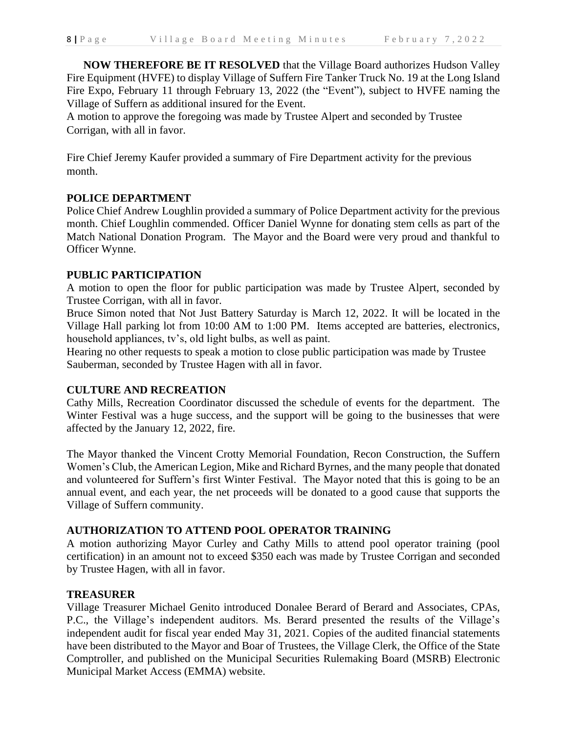**NOW THEREFORE BE IT RESOLVED** that the Village Board authorizes Hudson Valley Fire Equipment (HVFE) to display Village of Suffern Fire Tanker Truck No. 19 at the Long Island Fire Expo, February 11 through February 13, 2022 (the "Event"), subject to HVFE naming the Village of Suffern as additional insured for the Event.

A motion to approve the foregoing was made by Trustee Alpert and seconded by Trustee Corrigan, with all in favor.

Fire Chief Jeremy Kaufer provided a summary of Fire Department activity for the previous month.

### **POLICE DEPARTMENT**

Police Chief Andrew Loughlin provided a summary of Police Department activity for the previous month. Chief Loughlin commended. Officer Daniel Wynne for donating stem cells as part of the Match National Donation Program. The Mayor and the Board were very proud and thankful to Officer Wynne.

### **PUBLIC PARTICIPATION**

A motion to open the floor for public participation was made by Trustee Alpert, seconded by Trustee Corrigan, with all in favor.

Bruce Simon noted that Not Just Battery Saturday is March 12, 2022. It will be located in the Village Hall parking lot from 10:00 AM to 1:00 PM. Items accepted are batteries, electronics, household appliances, tv's, old light bulbs, as well as paint.

Hearing no other requests to speak a motion to close public participation was made by Trustee Sauberman, seconded by Trustee Hagen with all in favor.

### **CULTURE AND RECREATION**

Cathy Mills, Recreation Coordinator discussed the schedule of events for the department. The Winter Festival was a huge success, and the support will be going to the businesses that were affected by the January 12, 2022, fire.

The Mayor thanked the Vincent Crotty Memorial Foundation, Recon Construction, the Suffern Women's Club, the American Legion, Mike and Richard Byrnes, and the many people that donated and volunteered for Suffern's first Winter Festival. The Mayor noted that this is going to be an annual event, and each year, the net proceeds will be donated to a good cause that supports the Village of Suffern community.

#### **AUTHORIZATION TO ATTEND POOL OPERATOR TRAINING**

A motion authorizing Mayor Curley and Cathy Mills to attend pool operator training (pool certification) in an amount not to exceed \$350 each was made by Trustee Corrigan and seconded by Trustee Hagen, with all in favor.

#### **TREASURER**

Village Treasurer Michael Genito introduced Donalee Berard of Berard and Associates, CPAs, P.C., the Village's independent auditors. Ms. Berard presented the results of the Village's independent audit for fiscal year ended May 31, 2021. Copies of the audited financial statements have been distributed to the Mayor and Boar of Trustees, the Village Clerk, the Office of the State Comptroller, and published on the Municipal Securities Rulemaking Board (MSRB) Electronic Municipal Market Access (EMMA) website.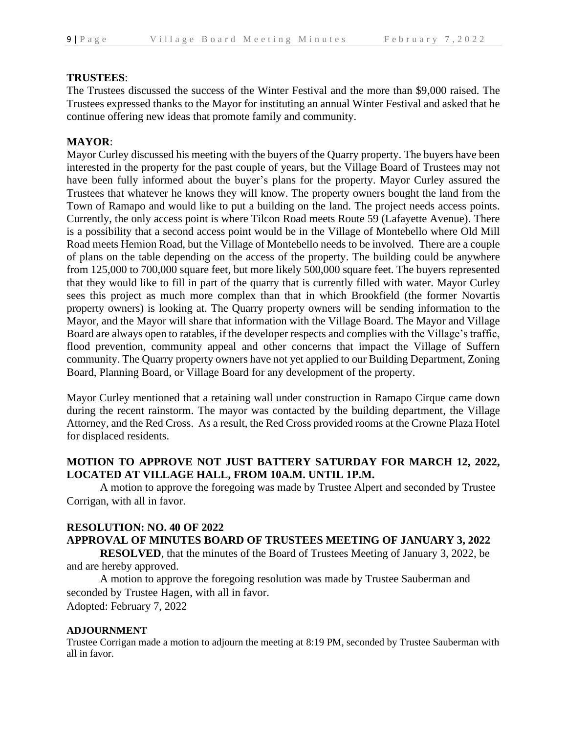### **TRUSTEES**:

The Trustees discussed the success of the Winter Festival and the more than \$9,000 raised. The Trustees expressed thanks to the Mayor for instituting an annual Winter Festival and asked that he continue offering new ideas that promote family and community.

### **MAYOR**:

Mayor Curley discussed his meeting with the buyers of the Quarry property. The buyers have been interested in the property for the past couple of years, but the Village Board of Trustees may not have been fully informed about the buyer's plans for the property. Mayor Curley assured the Trustees that whatever he knows they will know. The property owners bought the land from the Town of Ramapo and would like to put a building on the land. The project needs access points. Currently, the only access point is where Tilcon Road meets Route 59 (Lafayette Avenue). There is a possibility that a second access point would be in the Village of Montebello where Old Mill Road meets Hemion Road, but the Village of Montebello needs to be involved. There are a couple of plans on the table depending on the access of the property. The building could be anywhere from 125,000 to 700,000 square feet, but more likely 500,000 square feet. The buyers represented that they would like to fill in part of the quarry that is currently filled with water. Mayor Curley sees this project as much more complex than that in which Brookfield (the former Novartis property owners) is looking at. The Quarry property owners will be sending information to the Mayor, and the Mayor will share that information with the Village Board. The Mayor and Village Board are always open to ratables, if the developer respects and complies with the Village's traffic, flood prevention, community appeal and other concerns that impact the Village of Suffern community. The Quarry property owners have not yet applied to our Building Department, Zoning Board, Planning Board, or Village Board for any development of the property.

Mayor Curley mentioned that a retaining wall under construction in Ramapo Cirque came down during the recent rainstorm. The mayor was contacted by the building department, the Village Attorney, and the Red Cross. As a result, the Red Cross provided rooms at the Crowne Plaza Hotel for displaced residents.

### **MOTION TO APPROVE NOT JUST BATTERY SATURDAY FOR MARCH 12, 2022, LOCATED AT VILLAGE HALL, FROM 10A.M. UNTIL 1P.M.**

A motion to approve the foregoing was made by Trustee Alpert and seconded by Trustee Corrigan, with all in favor.

### **RESOLUTION: NO. 40 OF 2022**

# **APPROVAL OF MINUTES BOARD OF TRUSTEES MEETING OF JANUARY 3, 2022**

**RESOLVED**, that the minutes of the Board of Trustees Meeting of January 3, 2022, be and are hereby approved.

A motion to approve the foregoing resolution was made by Trustee Sauberman and seconded by Trustee Hagen, with all in favor. Adopted: February 7, 2022

#### **ADJOURNMENT**

Trustee Corrigan made a motion to adjourn the meeting at 8:19 PM, seconded by Trustee Sauberman with all in favor.